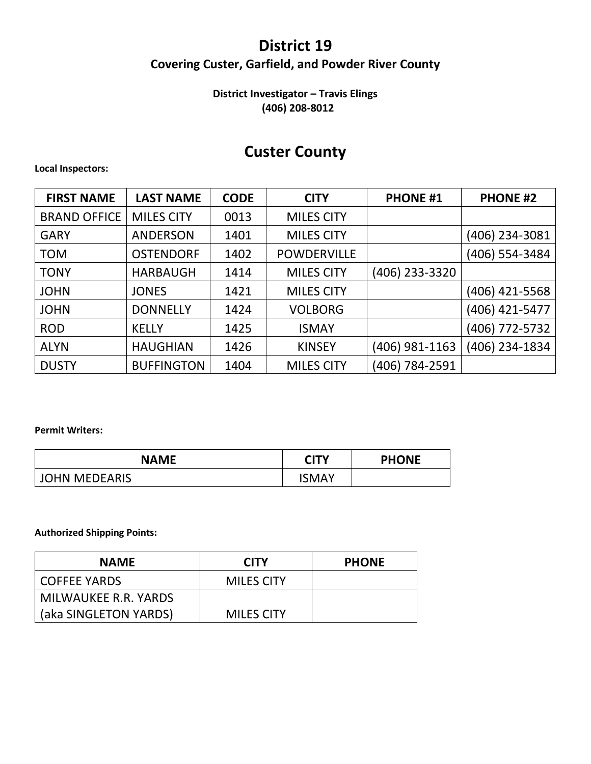## **District 19 Covering Custer, Garfield, and Powder River County**

### **District Investigator – Travis Elings (406) 208-8012**

## **Custer County**

#### **Local Inspectors:**

| <b>FIRST NAME</b>   | <b>LAST NAME</b>  | <b>CODE</b> | <b>CITY</b>        | <b>PHONE #1</b> | <b>PHONE #2</b> |
|---------------------|-------------------|-------------|--------------------|-----------------|-----------------|
| <b>BRAND OFFICE</b> | <b>MILES CITY</b> | 0013        | <b>MILES CITY</b>  |                 |                 |
| <b>GARY</b>         | <b>ANDERSON</b>   | 1401        | <b>MILES CITY</b>  |                 | (406) 234-3081  |
| <b>TOM</b>          | <b>OSTENDORF</b>  | 1402        | <b>POWDERVILLE</b> |                 | (406) 554-3484  |
| <b>TONY</b>         | <b>HARBAUGH</b>   | 1414        | <b>MILES CITY</b>  | (406) 233-3320  |                 |
| <b>JOHN</b>         | <b>JONES</b>      | 1421        | <b>MILES CITY</b>  |                 | (406) 421-5568  |
| <b>JOHN</b>         | <b>DONNELLY</b>   | 1424        | <b>VOLBORG</b>     |                 | (406) 421-5477  |
| <b>ROD</b>          | <b>KELLY</b>      | 1425        | <b>ISMAY</b>       |                 | (406) 772-5732  |
| <b>ALYN</b>         | <b>HAUGHIAN</b>   | 1426        | <b>KINSEY</b>      | (406) 981-1163  | (406) 234-1834  |
| <b>DUSTY</b>        | <b>BUFFINGTON</b> | 1404        | <b>MILES CITY</b>  | (406) 784-2591  |                 |

#### **Permit Writers:**

| NAME                 | <b>CITY</b> | <b>PHONE</b> |
|----------------------|-------------|--------------|
| <b>JOHN MEDEARIS</b> | ISMAY       |              |

#### **Authorized Shipping Points:**

| <b>NAME</b>           | <b>CITY</b>       | <b>PHONE</b> |
|-----------------------|-------------------|--------------|
| l COFFEE YARDS        | <b>MILES CITY</b> |              |
| MILWAUKEE R.R. YARDS  |                   |              |
| (aka SINGLETON YARDS) | <b>MILES CITY</b> |              |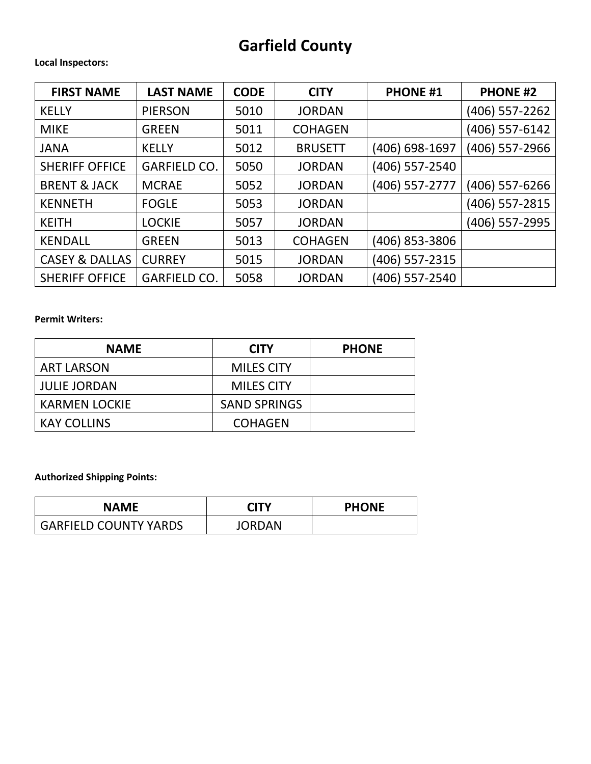# **Garfield County**

#### **Local Inspectors:**

| <b>FIRST NAME</b>         | <b>LAST NAME</b>    | <b>CODE</b> | <b>CITY</b>    | <b>PHONE #1</b> | <b>PHONE #2</b> |
|---------------------------|---------------------|-------------|----------------|-----------------|-----------------|
| <b>KELLY</b>              | <b>PIERSON</b>      | 5010        | <b>JORDAN</b>  |                 | (406) 557-2262  |
| <b>MIKE</b>               | <b>GREEN</b>        | 5011        | <b>COHAGEN</b> |                 | (406) 557-6142  |
| <b>JANA</b>               | <b>KELLY</b>        | 5012        | <b>BRUSETT</b> | (406) 698-1697  | (406) 557-2966  |
| <b>SHERIFF OFFICE</b>     | <b>GARFIELD CO.</b> | 5050        | <b>JORDAN</b>  | (406) 557-2540  |                 |
| <b>BRENT &amp; JACK</b>   | <b>MCRAE</b>        | 5052        | <b>JORDAN</b>  | (406) 557-2777  | (406) 557-6266  |
| <b>KENNETH</b>            | <b>FOGLE</b>        | 5053        | <b>JORDAN</b>  |                 | (406) 557-2815  |
| <b>KEITH</b>              | <b>LOCKIE</b>       | 5057        | <b>JORDAN</b>  |                 | (406) 557-2995  |
| <b>KENDALL</b>            | <b>GREEN</b>        | 5013        | <b>COHAGEN</b> | (406) 853-3806  |                 |
| <b>CASEY &amp; DALLAS</b> | <b>CURREY</b>       | 5015        | <b>JORDAN</b>  | (406) 557-2315  |                 |
| <b>SHERIFF OFFICE</b>     | <b>GARFIELD CO.</b> | 5058        | <b>JORDAN</b>  | (406) 557-2540  |                 |

#### **Permit Writers:**

| <b>NAME</b>          | <b>CITY</b>         | <b>PHONE</b> |
|----------------------|---------------------|--------------|
| <b>ART LARSON</b>    | <b>MILES CITY</b>   |              |
| <b>JULIE JORDAN</b>  | <b>MILES CITY</b>   |              |
| <b>KARMEN LOCKIE</b> | <b>SAND SPRINGS</b> |              |
| <b>KAY COLLINS</b>   | <b>COHAGEN</b>      |              |

**Authorized Shipping Points:**

| <b>NAME</b>           | <b>CITY</b>   | <b>PHONE</b> |
|-----------------------|---------------|--------------|
| GARFIELD COUNTY YARDS | <b>JORDAN</b> |              |